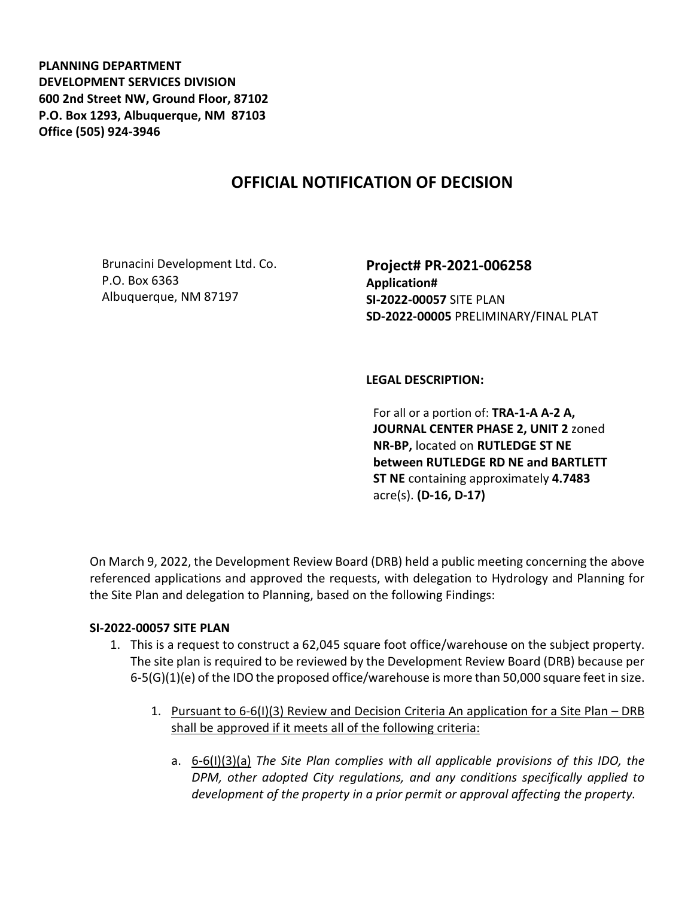**PLANNING DEPARTMENT DEVELOPMENT SERVICES DIVISION 600 2nd Street NW, Ground Floor, 87102 P.O. Box 1293, Albuquerque, NM 87103 Office (505) 924-3946** 

# **OFFICIAL NOTIFICATION OF DECISION**

Brunacini Development Ltd. Co. P.O. Box 6363 Albuquerque, NM 87197

**Project# PR-2021-006258 Application# SI-2022-00057** SITE PLAN **SD-2022-00005** PRELIMINARY/FINAL PLAT

### **LEGAL DESCRIPTION:**

For all or a portion of: **TRA-1-A A-2 A, JOURNAL CENTER PHASE 2, UNIT 2** zoned **NR-BP,** located on **RUTLEDGE ST NE between RUTLEDGE RD NE and BARTLETT ST NE** containing approximately **4.7483**  acre(s). **(D-16, D-17)**

On March 9, 2022, the Development Review Board (DRB) held a public meeting concerning the above referenced applications and approved the requests, with delegation to Hydrology and Planning for the Site Plan and delegation to Planning, based on the following Findings:

### **SI-2022-00057 SITE PLAN**

- 1. This is a request to construct a 62,045 square foot office/warehouse on the subject property. The site plan is required to be reviewed by the Development Review Board (DRB) because per 6-5(G)(1)(e) of the IDO the proposed office/warehouse is more than 50,000 square feet in size.
	- 1. Pursuant to 6-6(I)(3) Review and Decision Criteria An application for a Site Plan DRB shall be approved if it meets all of the following criteria:
		- a. 6-6(I)(3)(a) *The Site Plan complies with all applicable provisions of this IDO, the DPM, other adopted City regulations, and any conditions specifically applied to development of the property in a prior permit or approval affecting the property.*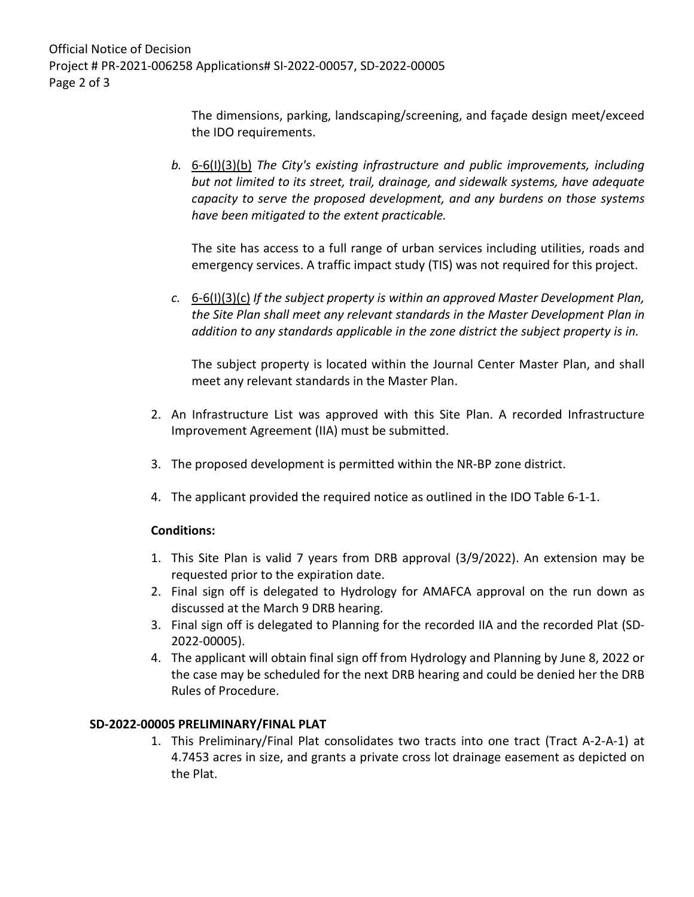Official Notice of Decision Project # PR-2021-006258 Applications# SI-2022-00057, SD-2022-00005 Page 2 of 3

> The dimensions, parking, landscaping/screening, and façade design meet/exceed the IDO requirements.

*b.* 6-6(I)(3)(b) *The City's existing infrastructure and public improvements, including but not limited to its street, trail, drainage, and sidewalk systems, have adequate capacity to serve the proposed development, and any burdens on those systems have been mitigated to the extent practicable.* 

The site has access to a full range of urban services including utilities, roads and emergency services. A traffic impact study (TIS) was not required for this project.

*c.* 6-6(I)(3)(c) *If the subject property is within an approved Master Development Plan, the Site Plan shall meet any relevant standards in the Master Development Plan in addition to any standards applicable in the zone district the subject property is in.* 

The subject property is located within the Journal Center Master Plan, and shall meet any relevant standards in the Master Plan.

- 2. An Infrastructure List was approved with this Site Plan. A recorded Infrastructure Improvement Agreement (IIA) must be submitted.
- 3. The proposed development is permitted within the NR-BP zone district.
- 4. The applicant provided the required notice as outlined in the IDO Table 6-1-1.

### **Conditions:**

- 1. This Site Plan is valid 7 years from DRB approval (3/9/2022). An extension may be requested prior to the expiration date.
- 2. Final sign off is delegated to Hydrology for AMAFCA approval on the run down as discussed at the March 9 DRB hearing.
- 3. Final sign off is delegated to Planning for the recorded IIA and the recorded Plat (SD-2022-00005).
- 4. The applicant will obtain final sign off from Hydrology and Planning by June 8, 2022 or the case may be scheduled for the next DRB hearing and could be denied her the DRB Rules of Procedure.

### **SD-2022-00005 PRELIMINARY/FINAL PLAT**

1. This Preliminary/Final Plat consolidates two tracts into one tract (Tract A-2-A-1) at 4.7453 acres in size, and grants a private cross lot drainage easement as depicted on the Plat.